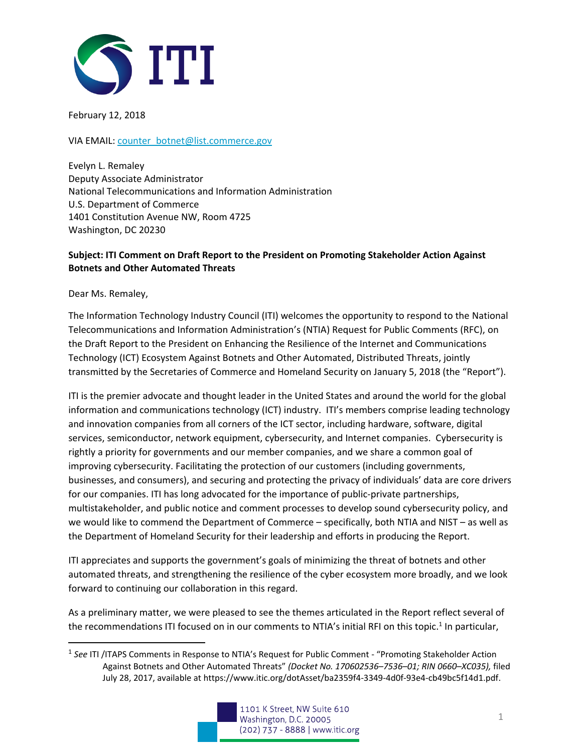

February 12, 2018

VIA EMAIL: [counter\\_botnet@list.commerce.gov](mailto:counter_botnet@list.commerce.gov)

Evelyn L. Remaley Deputy Associate Administrator National Telecommunications and Information Administration U.S. Department of Commerce 1401 Constitution Avenue NW, Room 4725 Washington, DC 20230

## **Subject: ITI Comment on Draft Report to the President on Promoting Stakeholder Action Against Botnets and Other Automated Threats**

Dear Ms. Remaley,

 $\overline{\phantom{a}}$ 

The Information Technology Industry Council (ITI) welcomes the opportunity to respond to the National Telecommunications and Information Administration's (NTIA) Request for Public Comments (RFC), on the Draft Report to the President on Enhancing the Resilience of the Internet and Communications Technology (ICT) Ecosystem Against Botnets and Other Automated, Distributed Threats, jointly transmitted by the Secretaries of Commerce and Homeland Security on January 5, 2018 (the "Report").

ITI is the premier advocate and thought leader in the United States and around the world for the global information and communications technology (ICT) industry. ITI's members comprise leading technology and innovation companies from all corners of the ICT sector, including hardware, software, digital services, semiconductor, network equipment, cybersecurity, and Internet companies. Cybersecurity is rightly a priority for governments and our member companies, and we share a common goal of improving cybersecurity. Facilitating the protection of our customers (including governments, businesses, and consumers), and securing and protecting the privacy of individuals' data are core drivers for our companies. ITI has long advocated for the importance of public-private partnerships, multistakeholder, and public notice and comment processes to develop sound cybersecurity policy, and we would like to commend the Department of Commerce – specifically, both NTIA and NIST – as well as the Department of Homeland Security for their leadership and efforts in producing the Report.

ITI appreciates and supports the government's goals of minimizing the threat of botnets and other automated threats, and strengthening the resilience of the cyber ecosystem more broadly, and we look forward to continuing our collaboration in this regard.

As a preliminary matter, we were pleased to see the themes articulated in the Report reflect several of the recommendations ITI focused on in our comments to NTIA's initial RFI on this topic.<sup>1</sup> In particular,

<sup>&</sup>lt;sup>1</sup> See ITI /ITAPS Comments in Response to NTIA's Request for Public Comment - "Promoting Stakeholder Action Against Botnets and Other Automated Threats" *(Docket No. 170602536–7536–01; RIN 0660–XC035),* filed July 28, 2017, available at https://www.itic.org/dotAsset/ba2359f4-3349-4d0f-93e4-cb49bc5f14d1.pdf.

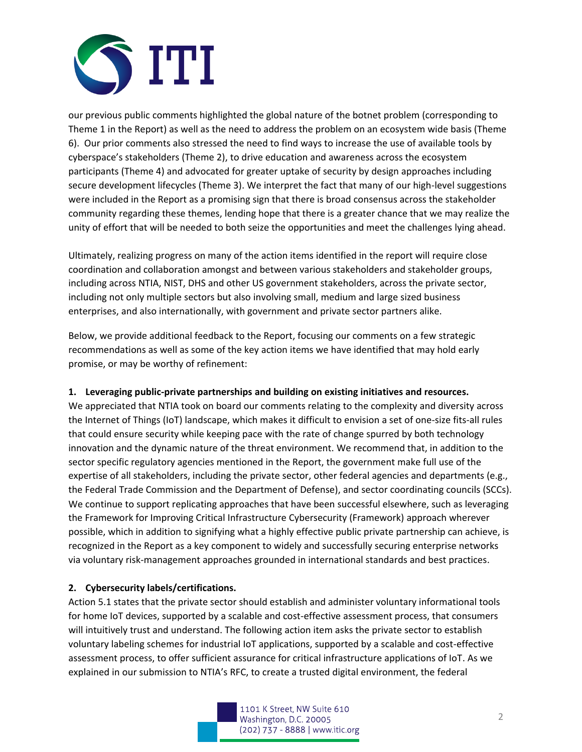

our previous public comments highlighted the global nature of the botnet problem (corresponding to Theme 1 in the Report) as well as the need to address the problem on an ecosystem wide basis (Theme 6). Our prior comments also stressed the need to find ways to increase the use of available tools by cyberspace's stakeholders (Theme 2), to drive education and awareness across the ecosystem participants (Theme 4) and advocated for greater uptake of security by design approaches including secure development lifecycles (Theme 3). We interpret the fact that many of our high-level suggestions were included in the Report as a promising sign that there is broad consensus across the stakeholder community regarding these themes, lending hope that there is a greater chance that we may realize the unity of effort that will be needed to both seize the opportunities and meet the challenges lying ahead.

Ultimately, realizing progress on many of the action items identified in the report will require close coordination and collaboration amongst and between various stakeholders and stakeholder groups, including across NTIA, NIST, DHS and other US government stakeholders, across the private sector, including not only multiple sectors but also involving small, medium and large sized business enterprises, and also internationally, with government and private sector partners alike.

Below, we provide additional feedback to the Report, focusing our comments on a few strategic recommendations as well as some of the key action items we have identified that may hold early promise, or may be worthy of refinement:

# **1. Leveraging public-private partnerships and building on existing initiatives and resources.**

We appreciated that NTIA took on board our comments relating to the complexity and diversity across the Internet of Things (IoT) landscape, which makes it difficult to envision a set of one-size fits-all rules that could ensure security while keeping pace with the rate of change spurred by both technology innovation and the dynamic nature of the threat environment. We recommend that, in addition to the sector specific regulatory agencies mentioned in the Report, the government make full use of the expertise of all stakeholders, including the private sector, other federal agencies and departments (e.g., the Federal Trade Commission and the Department of Defense), and sector coordinating councils (SCCs). We continue to support replicating approaches that have been successful elsewhere, such as leveraging the Framework for Improving Critical Infrastructure Cybersecurity (Framework) approach wherever possible, which in addition to signifying what a highly effective public private partnership can achieve, is recognized in the Report as a key component to widely and successfully securing enterprise networks via voluntary risk-management approaches grounded in international standards and best practices.

### **2. Cybersecurity labels/certifications.**

Action 5.1 states that the private sector should establish and administer voluntary informational tools for home IoT devices, supported by a scalable and cost-effective assessment process, that consumers will intuitively trust and understand. The following action item asks the private sector to establish voluntary labeling schemes for industrial IoT applications, supported by a scalable and cost-effective assessment process, to offer sufficient assurance for critical infrastructure applications of IoT. As we explained in our submission to NTIA's RFC, to create a trusted digital environment, the federal

> 1101 K Street, NW Suite 610 Washington, D.C. 20005 (202) 737 - 8888 | www.itic.org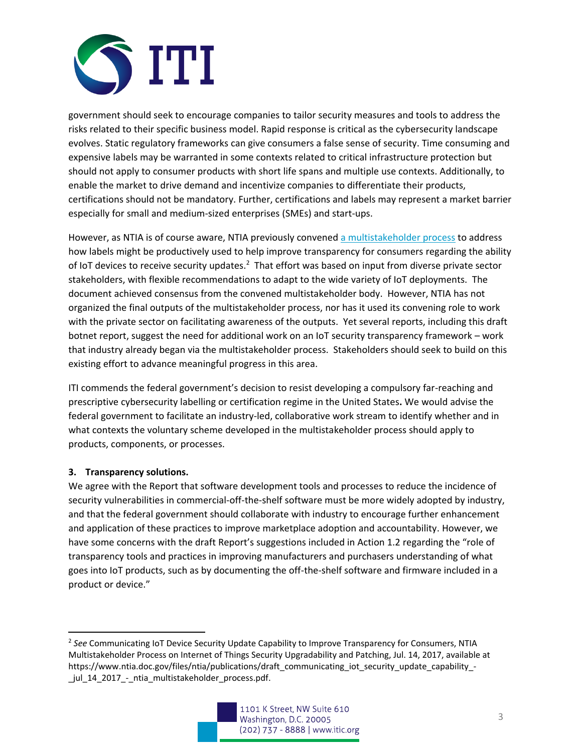

government should seek to encourage companies to tailor security measures and tools to address the risks related to their specific business model. Rapid response is critical as the cybersecurity landscape evolves. Static regulatory frameworks can give consumers a false sense of security. Time consuming and expensive labels may be warranted in some contexts related to critical infrastructure protection but should not apply to consumer products with short life spans and multiple use contexts. Additionally, to enable the market to drive demand and incentivize companies to differentiate their products, certifications should not be mandatory. Further, certifications and labels may represent a market barrier especially for small and medium-sized enterprises (SMEs) and start-ups.

However, as NTIA is of course aware, NTIA previously convened [a multistakeholder process](https://www.ntia.doc.gov/other-publication/2016/multistakeholder-process-iot-security) to address how labels might be productively used to help improve transparency for consumers regarding the ability of IoT devices to receive security updates.<sup>2</sup> That effort was based on input from diverse private sector stakeholders, with flexible recommendations to adapt to the wide variety of IoT deployments. The document achieved consensus from the convened multistakeholder body. However, NTIA has not organized the final outputs of the multistakeholder process, nor has it used its convening role to work with the private sector on facilitating awareness of the outputs. Yet several reports, including this draft botnet report, suggest the need for additional work on an IoT security transparency framework – work that industry already began via the multistakeholder process. Stakeholders should seek to build on this existing effort to advance meaningful progress in this area.

ITI commends the federal government's decision to resist developing a compulsory far-reaching and prescriptive cybersecurity labelling or certification regime in the United States**.** We would advise the federal government to facilitate an industry-led, collaborative work stream to identify whether and in what contexts the voluntary scheme developed in the multistakeholder process should apply to products, components, or processes.

# **3. Transparency solutions.**

 $\overline{\phantom{a}}$ 

We agree with the Report that software development tools and processes to reduce the incidence of security vulnerabilities in commercial-off-the-shelf software must be more widely adopted by industry, and that the federal government should collaborate with industry to encourage further enhancement and application of these practices to improve marketplace adoption and accountability. However, we have some concerns with the draft Report's suggestions included in Action 1.2 regarding the "role of transparency tools and practices in improving manufacturers and purchasers understanding of what goes into IoT products, such as by documenting the off-the-shelf software and firmware included in a product or device."

<sup>2</sup> *See* Communicating IoT Device Security Update Capability to Improve Transparency for Consumers, NTIA Multistakeholder Process on Internet of Things Security Upgradability and Patching, Jul. 14, 2017, available at https://www.ntia.doc.gov/files/ntia/publications/draft\_communicating\_iot\_security\_update\_capability\_ jul 14 2017 - ntia multistakeholder process.pdf.

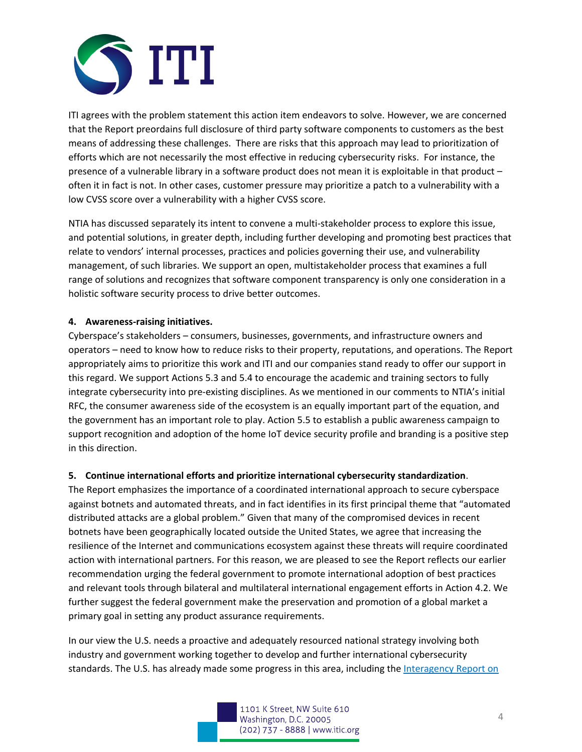

ITI agrees with the problem statement this action item endeavors to solve. However, we are concerned that the Report preordains full disclosure of third party software components to customers as the best means of addressing these challenges. There are risks that this approach may lead to prioritization of efforts which are not necessarily the most effective in reducing cybersecurity risks. For instance, the presence of a vulnerable library in a software product does not mean it is exploitable in that product – often it in fact is not. In other cases, customer pressure may prioritize a patch to a vulnerability with a low CVSS score over a vulnerability with a higher CVSS score.

NTIA has discussed separately its intent to convene a multi-stakeholder process to explore this issue, and potential solutions, in greater depth, including further developing and promoting best practices that relate to vendors' internal processes, practices and policies governing their use, and vulnerability management, of such libraries. We support an open, multistakeholder process that examines a full range of solutions and recognizes that software component transparency is only one consideration in a holistic software security process to drive better outcomes.

## **4. Awareness-raising initiatives.**

Cyberspace's stakeholders – consumers, businesses, governments, and infrastructure owners and operators – need to know how to reduce risks to their property, reputations, and operations. The Report appropriately aims to prioritize this work and ITI and our companies stand ready to offer our support in this regard. We support Actions 5.3 and 5.4 to encourage the academic and training sectors to fully integrate cybersecurity into pre-existing disciplines. As we mentioned in our comments to NTIA's initial RFC, the consumer awareness side of the ecosystem is an equally important part of the equation, and the government has an important role to play. Action 5.5 to establish a public awareness campaign to support recognition and adoption of the home IoT device security profile and branding is a positive step in this direction.

# **5. Continue international efforts and prioritize international cybersecurity standardization**.

The Report emphasizes the importance of a coordinated international approach to secure cyberspace against botnets and automated threats, and in fact identifies in its first principal theme that "automated distributed attacks are a global problem." Given that many of the compromised devices in recent botnets have been geographically located outside the United States, we agree that increasing the resilience of the Internet and communications ecosystem against these threats will require coordinated action with international partners. For this reason, we are pleased to see the Report reflects our earlier recommendation urging the federal government to promote international adoption of best practices and relevant tools through bilateral and multilateral international engagement efforts in Action 4.2. We further suggest the federal government make the preservation and promotion of a global market a primary goal in setting any product assurance requirements.

In our view the U.S. needs a proactive and adequately resourced national strategy involving both industry and government working together to develop and further international cybersecurity standards. The U.S. has already made some progress in this area, including the Interagency Report on

> 1101 K Street, NW Suite 610 Washington, D.C. 20005 (202) 737 - 8888 | www.itic.org